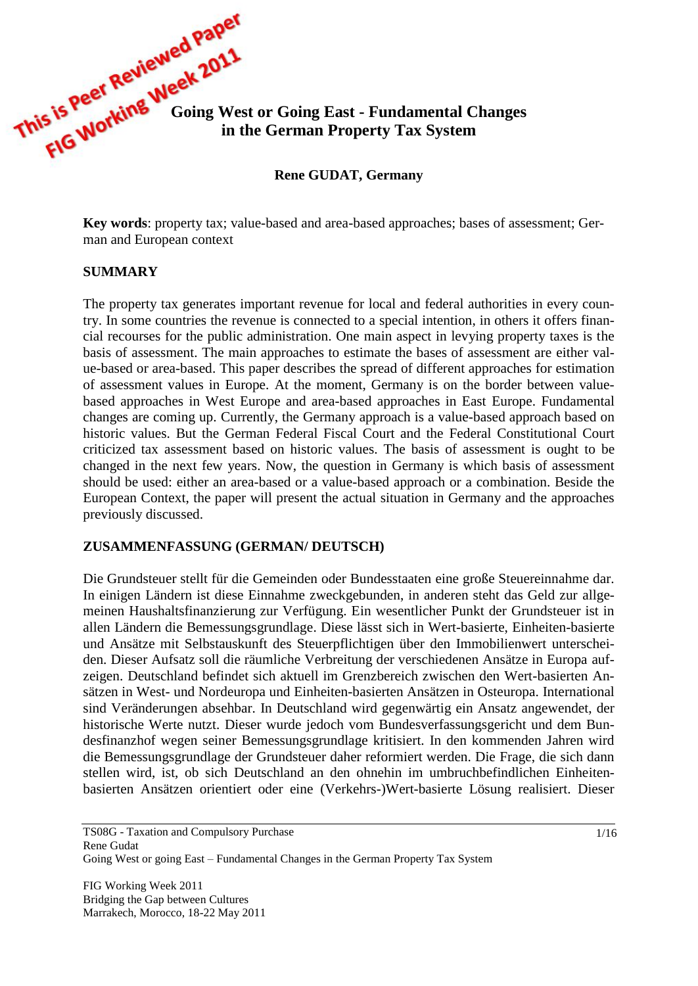This is peet number Week 2015.<br>This is peet number of Going West or Going East - Fundamental Changes<br>**FIG WOTKING** on the German Property Tow Co. **in the German Property Tax System**

**Rene GUDAT, Germany**

**Key words**: property tax; value-based and area-based approaches; bases of assessment; German and European context

#### **SUMMARY**

The property tax generates important revenue for local and federal authorities in every country. In some countries the revenue is connected to a special intention, in others it offers financial recourses for the public administration. One main aspect in levying property taxes is the basis of assessment. The main approaches to estimate the bases of assessment are either value-based or area-based. This paper describes the spread of different approaches for estimation of assessment values in Europe. At the moment, Germany is on the border between valuebased approaches in West Europe and area-based approaches in East Europe. Fundamental changes are coming up. Currently, the Germany approach is a value-based approach based on historic values. But the German Federal Fiscal Court and the Federal Constitutional Court criticized tax assessment based on historic values. The basis of assessment is ought to be changed in the next few years. Now, the question in Germany is which basis of assessment should be used: either an area-based or a value-based approach or a combination. Beside the European Context, the paper will present the actual situation in Germany and the approaches previously discussed.

#### **ZUSAMMENFASSUNG (GERMAN/ DEUTSCH)**

Die Grundsteuer stellt für die Gemeinden oder Bundesstaaten eine große Steuereinnahme dar. In einigen Ländern ist diese Einnahme zweckgebunden, in anderen steht das Geld zur allgemeinen Haushaltsfinanzierung zur Verfügung. Ein wesentlicher Punkt der Grundsteuer ist in allen Ländern die Bemessungsgrundlage. Diese lässt sich in Wert-basierte, Einheiten-basierte und Ansätze mit Selbstauskunft des Steuerpflichtigen über den Immobilienwert unterscheiden. Dieser Aufsatz soll die räumliche Verbreitung der verschiedenen Ansätze in Europa aufzeigen. Deutschland befindet sich aktuell im Grenzbereich zwischen den Wert-basierten Ansätzen in West- und Nordeuropa und Einheiten-basierten Ansätzen in Osteuropa. International sind Veränderungen absehbar. In Deutschland wird gegenwärtig ein Ansatz angewendet, der historische Werte nutzt. Dieser wurde jedoch vom Bundesverfassungsgericht und dem Bundesfinanzhof wegen seiner Bemessungsgrundlage kritisiert. In den kommenden Jahren wird die Bemessungsgrundlage der Grundsteuer daher reformiert werden. Die Frage, die sich dann stellen wird, ist, ob sich Deutschland an den ohnehin im umbruchbefindlichen Einheitenbasierten Ansätzen orientiert oder eine (Verkehrs-)Wert-basierte Lösung realisiert. Dieser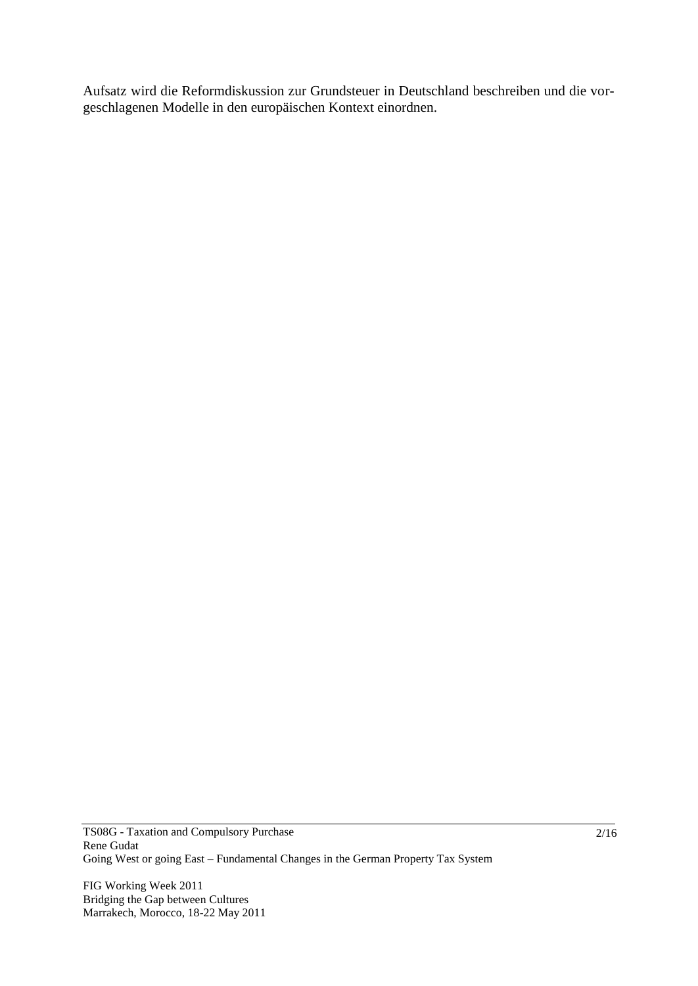Aufsatz wird die Reformdiskussion zur Grundsteuer in Deutschland beschreiben und die vorgeschlagenen Modelle in den europäischen Kontext einordnen.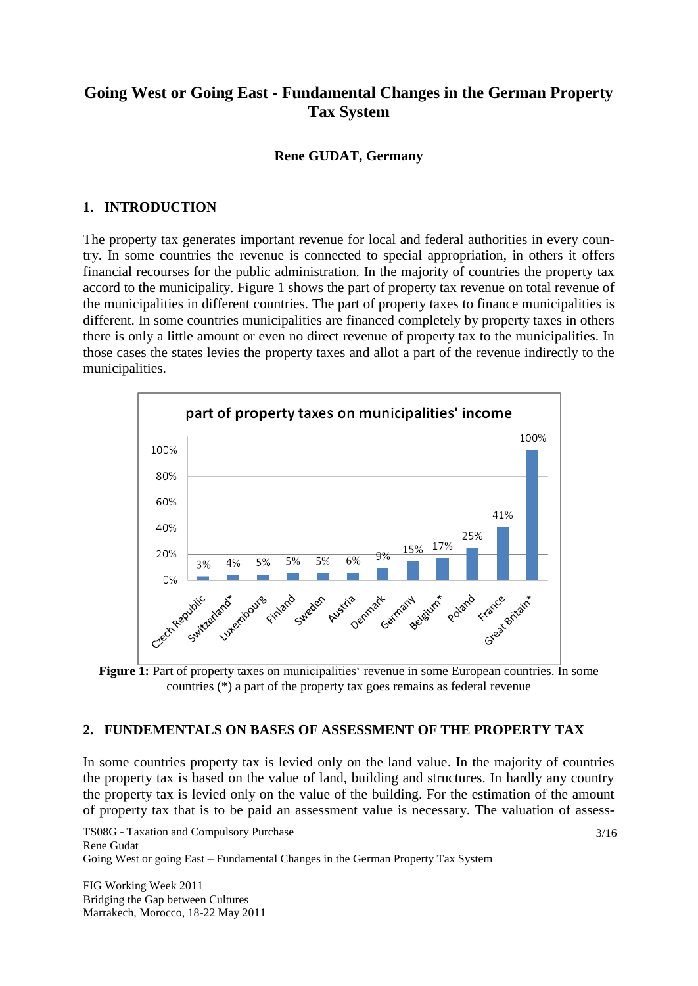# **Going West or Going East - Fundamental Changes in the German Property Tax System**

#### **Rene GUDAT, Germany**

### **1. INTRODUCTION**

The property tax generates important revenue for local and federal authorities in every country. In some countries the revenue is connected to special appropriation, in others it offers financial recourses for the public administration. In the majority of countries the property tax accord to the municipality. Figure 1 shows the part of property tax revenue on total revenue of the municipalities in different countries. The part of property taxes to finance municipalities is different. In some countries municipalities are financed completely by property taxes in others there is only a little amount or even no direct revenue of property tax to the municipalities. In those cases the states levies the property taxes and allot a part of the revenue indirectly to the municipalities.



Figure 1: Part of property taxes on municipalities' revenue in some European countries. In some countries (\*) a part of the property tax goes remains as federal revenue

#### **2. FUNDEMENTALS ON BASES OF ASSESSMENT OF THE PROPERTY TAX**

In some countries property tax is levied only on the land value. In the majority of countries the property tax is based on the value of land, building and structures. In hardly any country the property tax is levied only on the value of the building. For the estimation of the amount of property tax that is to be paid an assessment value is necessary. The valuation of assess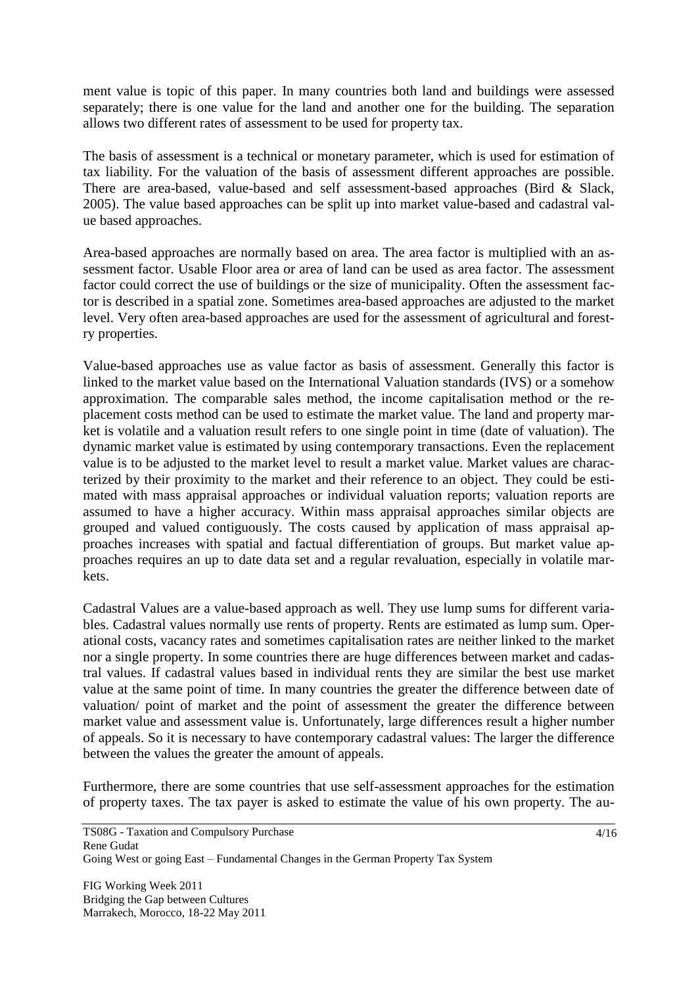ment value is topic of this paper. In many countries both land and buildings were assessed separately; there is one value for the land and another one for the building. The separation allows two different rates of assessment to be used for property tax.

The basis of assessment is a technical or monetary parameter, which is used for estimation of tax liability. For the valuation of the basis of assessment different approaches are possible. There are area-based, value-based and self assessment-based approaches (Bird & Slack, 2005). The value based approaches can be split up into market value-based and cadastral value based approaches.

Area-based approaches are normally based on area. The area factor is multiplied with an assessment factor. Usable Floor area or area of land can be used as area factor. The assessment factor could correct the use of buildings or the size of municipality. Often the assessment factor is described in a spatial zone. Sometimes area-based approaches are adjusted to the market level. Very often area-based approaches are used for the assessment of agricultural and forestry properties.

Value-based approaches use as value factor as basis of assessment. Generally this factor is linked to the market value based on the International Valuation standards (IVS) or a somehow approximation. The comparable sales method, the income capitalisation method or the replacement costs method can be used to estimate the market value. The land and property market is volatile and a valuation result refers to one single point in time (date of valuation). The dynamic market value is estimated by using contemporary transactions. Even the replacement value is to be adjusted to the market level to result a market value. Market values are characterized by their proximity to the market and their reference to an object. They could be estimated with mass appraisal approaches or individual valuation reports; valuation reports are assumed to have a higher accuracy. Within mass appraisal approaches similar objects are grouped and valued contiguously. The costs caused by application of mass appraisal approaches increases with spatial and factual differentiation of groups. But market value approaches requires an up to date data set and a regular revaluation, especially in volatile markets.

Cadastral Values are a value-based approach as well. They use lump sums for different variables. Cadastral values normally use rents of property. Rents are estimated as lump sum. Operational costs, vacancy rates and sometimes capitalisation rates are neither linked to the market nor a single property. In some countries there are huge differences between market and cadastral values. If cadastral values based in individual rents they are similar the best use market value at the same point of time. In many countries the greater the difference between date of valuation/ point of market and the point of assessment the greater the difference between market value and assessment value is. Unfortunately, large differences result a higher number of appeals. So it is necessary to have contemporary cadastral values: The larger the difference between the values the greater the amount of appeals.

Furthermore, there are some countries that use self-assessment approaches for the estimation of property taxes. The tax payer is asked to estimate the value of his own property. The au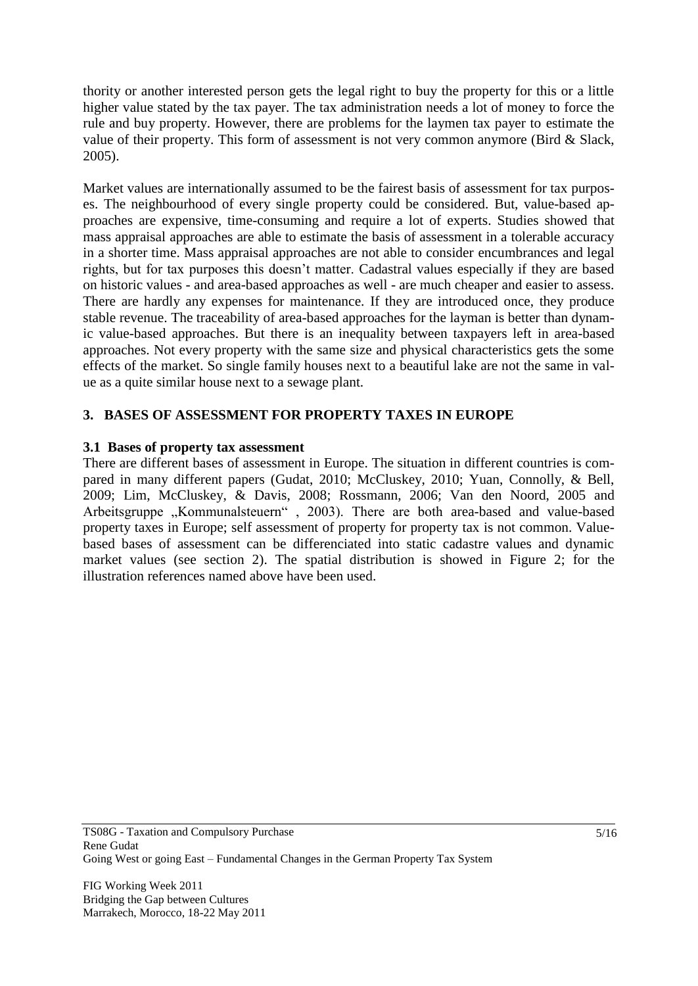thority or another interested person gets the legal right to buy the property for this or a little higher value stated by the tax payer. The tax administration needs a lot of money to force the rule and buy property. However, there are problems for the laymen tax payer to estimate the value of their property. This form of assessment is not very common anymore (Bird & Slack, 2005).

Market values are internationally assumed to be the fairest basis of assessment for tax purposes. The neighbourhood of every single property could be considered. But, value-based approaches are expensive, time-consuming and require a lot of experts. Studies showed that mass appraisal approaches are able to estimate the basis of assessment in a tolerable accuracy in a shorter time. Mass appraisal approaches are not able to consider encumbrances and legal rights, but for tax purposes this doesn't matter. Cadastral values especially if they are based on historic values - and area-based approaches as well - are much cheaper and easier to assess. There are hardly any expenses for maintenance. If they are introduced once, they produce stable revenue. The traceability of area-based approaches for the layman is better than dynamic value-based approaches. But there is an inequality between taxpayers left in area-based approaches. Not every property with the same size and physical characteristics gets the some effects of the market. So single family houses next to a beautiful lake are not the same in value as a quite similar house next to a sewage plant.

# **3. BASES OF ASSESSMENT FOR PROPERTY TAXES IN EUROPE**

#### **3.1 Bases of property tax assessment**

There are different bases of assessment in Europe. The situation in different countries is compared in many different papers (Gudat, 2010; McCluskey, 2010; Yuan, Connolly, & Bell, 2009; Lim, McCluskey, & Davis, 2008; Rossmann, 2006; Van den Noord, 2005 and Arbeitsgruppe "Kommunalsteuern", 2003). There are both area-based and value-based property taxes in Europe; self assessment of property for property tax is not common. Valuebased bases of assessment can be differenciated into static cadastre values and dynamic market values (see section 2). The spatial distribution is showed in Figure 2; for the illustration references named above have been used.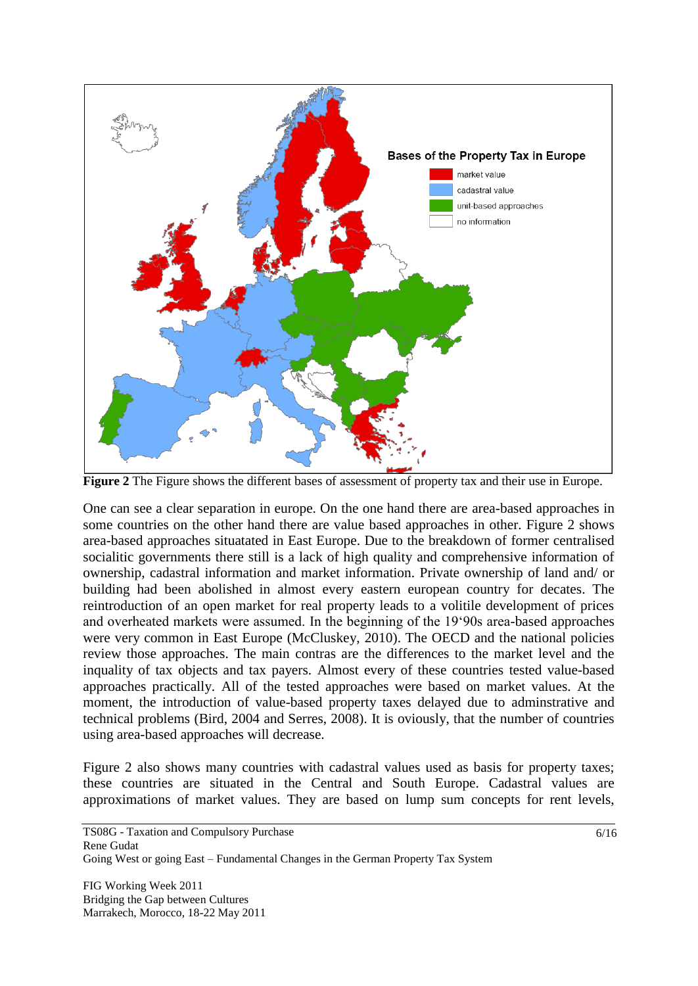

**Figure 2** The Figure shows the different bases of assessment of property tax and their use in Europe.

One can see a clear separation in europe. On the one hand there are area-based approaches in some countries on the other hand there are value based approaches in other. Figure 2 shows area-based approaches situatated in East Europe. Due to the breakdown of former centralised socialitic governments there still is a lack of high quality and comprehensive information of ownership, cadastral information and market information. Private ownership of land and/ or building had been abolished in almost every eastern european country for decates. The reintroduction of an open market for real property leads to a volitile development of prices and overheated markets were assumed. In the beginning of the 19'90s area-based approaches were very common in East Europe (McCluskey, 2010). The OECD and the national policies review those approaches. The main contras are the differences to the market level and the inquality of tax objects and tax payers. Almost every of these countries tested value-based approaches practically. All of the tested approaches were based on market values. At the moment, the introduction of value-based property taxes delayed due to adminstrative and technical problems (Bird, 2004 and Serres, 2008). It is oviously, that the number of countries using area-based approaches will decrease.

Figure 2 also shows many countries with cadastral values used as basis for property taxes; these countries are situated in the Central and South Europe. Cadastral values are approximations of market values. They are based on lump sum concepts for rent levels,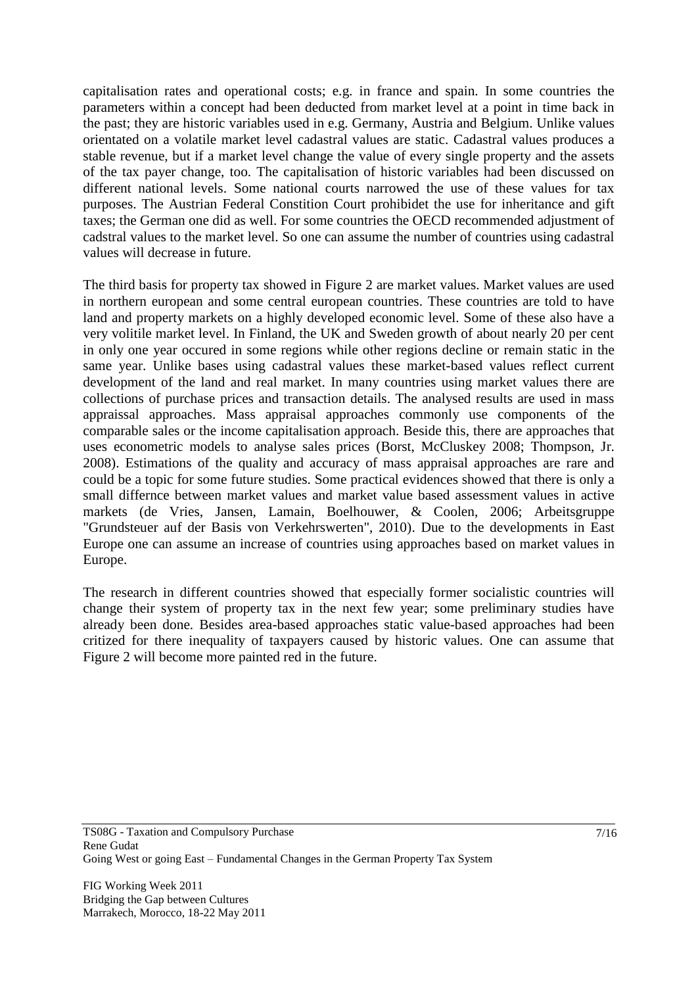capitalisation rates and operational costs; e.g. in france and spain. In some countries the parameters within a concept had been deducted from market level at a point in time back in the past; they are historic variables used in e.g. Germany, Austria and Belgium. Unlike values orientated on a volatile market level cadastral values are static. Cadastral values produces a stable revenue, but if a market level change the value of every single property and the assets of the tax payer change, too. The capitalisation of historic variables had been discussed on different national levels. Some national courts narrowed the use of these values for tax purposes. The Austrian Federal Constition Court prohibidet the use for inheritance and gift taxes; the German one did as well. For some countries the OECD recommended adjustment of cadstral values to the market level. So one can assume the number of countries using cadastral values will decrease in future.

The third basis for property tax showed in Figure 2 are market values. Market values are used in northern european and some central european countries. These countries are told to have land and property markets on a highly developed economic level. Some of these also have a very volitile market level. In Finland, the UK and Sweden growth of about nearly 20 per cent in only one year occured in some regions while other regions decline or remain static in the same year. Unlike bases using cadastral values these market-based values reflect current development of the land and real market. In many countries using market values there are collections of purchase prices and transaction details. The analysed results are used in mass appraissal approaches. Mass appraisal approaches commonly use components of the comparable sales or the income capitalisation approach. Beside this, there are approaches that uses econometric models to analyse sales prices (Borst, McCluskey 2008; Thompson, Jr. 2008). Estimations of the quality and accuracy of mass appraisal approaches are rare and could be a topic for some future studies. Some practical evidences showed that there is only a small differnce between market values and market value based assessment values in active markets (de Vries, Jansen, Lamain, Boelhouwer, & Coolen, 2006; Arbeitsgruppe "Grundsteuer auf der Basis von Verkehrswerten", 2010). Due to the developments in East Europe one can assume an increase of countries using approaches based on market values in Europe.

The research in different countries showed that especially former socialistic countries will change their system of property tax in the next few year; some preliminary studies have already been done. Besides area-based approaches static value-based approaches had been critized for there inequality of taxpayers caused by historic values. One can assume that Figure 2 will become more painted red in the future.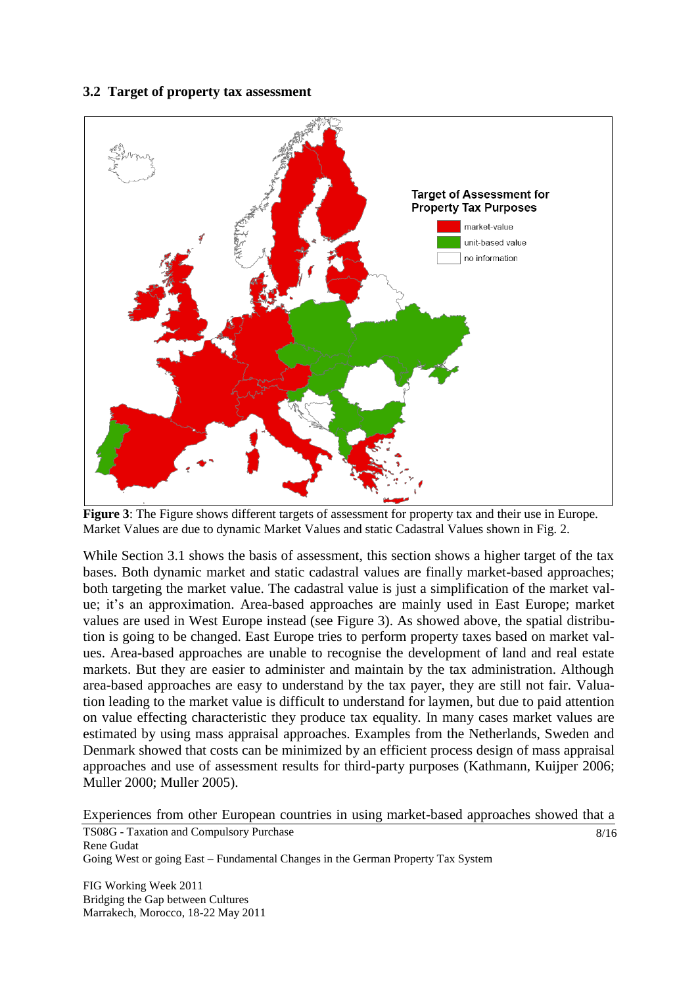#### **3.2 Target of property tax assessment**



**Figure 3**: The Figure shows different targets of assessment for property tax and their use in Europe. Market Values are due to dynamic Market Values and static Cadastral Values shown in Fig. 2.

While Section 3.1 shows the basis of assessment, this section shows a higher target of the tax bases. Both dynamic market and static cadastral values are finally market-based approaches; both targeting the market value. The cadastral value is just a simplification of the market value; it's an approximation. Area-based approaches are mainly used in East Europe; market values are used in West Europe instead (see Figure 3). As showed above, the spatial distribution is going to be changed. East Europe tries to perform property taxes based on market values. Area-based approaches are unable to recognise the development of land and real estate markets. But they are easier to administer and maintain by the tax administration. Although area-based approaches are easy to understand by the tax payer, they are still not fair. Valuation leading to the market value is difficult to understand for laymen, but due to paid attention on value effecting characteristic they produce tax equality. In many cases market values are estimated by using mass appraisal approaches. Examples from the Netherlands, Sweden and Denmark showed that costs can be minimized by an efficient process design of mass appraisal approaches and use of assessment results for third-party purposes (Kathmann, Kuijper 2006; Muller 2000; Muller 2005).

Experiences from other European countries in using market-based approaches showed that a

TS08G - Taxation and Compulsory Purchase Rene Gudat Going West or going East – Fundamental Changes in the German Property Tax System 8/16

FIG Working Week 2011 Bridging the Gap between Cultures Marrakech, Morocco, 18-22 May 2011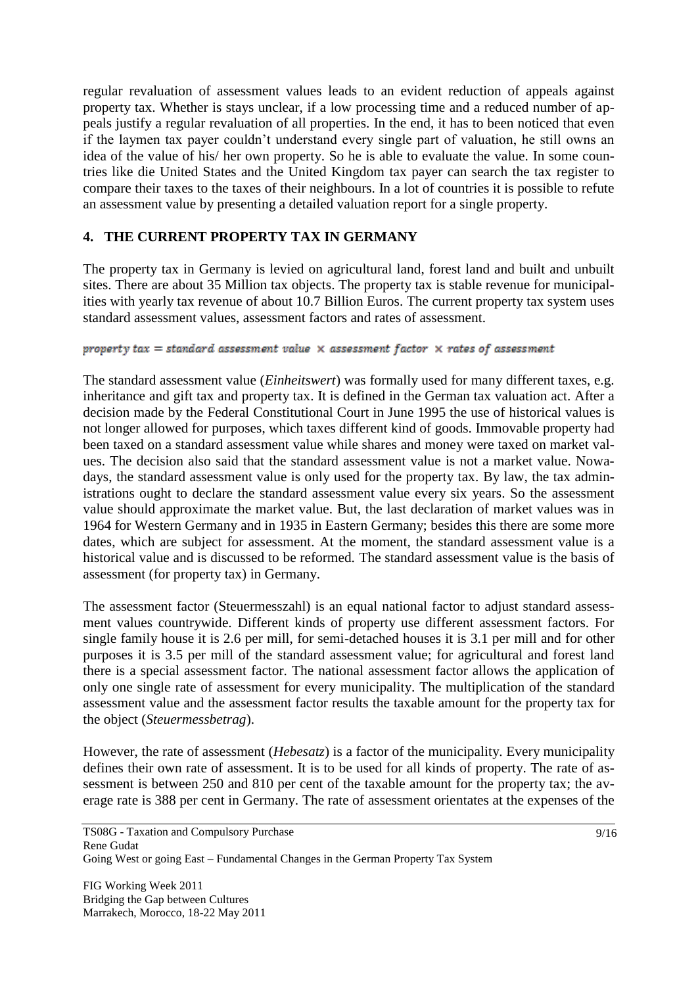regular revaluation of assessment values leads to an evident reduction of appeals against property tax. Whether is stays unclear, if a low processing time and a reduced number of appeals justify a regular revaluation of all properties. In the end, it has to been noticed that even if the laymen tax payer couldn't understand every single part of valuation, he still owns an idea of the value of his/ her own property. So he is able to evaluate the value. In some countries like die United States and the United Kingdom tax payer can search the tax register to compare their taxes to the taxes of their neighbours. In a lot of countries it is possible to refute an assessment value by presenting a detailed valuation report for a single property.

# **4. THE CURRENT PROPERTY TAX IN GERMANY**

The property tax in Germany is levied on agricultural land, forest land and built and unbuilt sites. There are about 35 Million tax objects. The property tax is stable revenue for municipalities with yearly tax revenue of about 10.7 Billion Euros. The current property tax system uses standard assessment values, assessment factors and rates of assessment.

#### property tax = standard assessment value  $\times$  assessment factor  $\times$  rates of assessment

The standard assessment value (*Einheitswert*) was formally used for many different taxes, e.g. inheritance and gift tax and property tax. It is defined in the German tax valuation act. After a decision made by the Federal Constitutional Court in June 1995 the use of historical values is not longer allowed for purposes, which taxes different kind of goods. Immovable property had been taxed on a standard assessment value while shares and money were taxed on market values. The decision also said that the standard assessment value is not a market value. Nowadays, the standard assessment value is only used for the property tax. By law, the tax administrations ought to declare the standard assessment value every six years. So the assessment value should approximate the market value. But, the last declaration of market values was in 1964 for Western Germany and in 1935 in Eastern Germany; besides this there are some more dates, which are subject for assessment. At the moment, the standard assessment value is a historical value and is discussed to be reformed. The standard assessment value is the basis of assessment (for property tax) in Germany.

The assessment factor (Steuermesszahl) is an equal national factor to adjust standard assessment values countrywide. Different kinds of property use different assessment factors. For single family house it is 2.6 per mill, for semi-detached houses it is 3.1 per mill and for other purposes it is 3.5 per mill of the standard assessment value; for agricultural and forest land there is a special assessment factor. The national assessment factor allows the application of only one single rate of assessment for every municipality. The multiplication of the standard assessment value and the assessment factor results the taxable amount for the property tax for the object (*Steuermessbetrag*).

However, the rate of assessment (*Hebesatz*) is a factor of the municipality. Every municipality defines their own rate of assessment. It is to be used for all kinds of property. The rate of assessment is between 250 and 810 per cent of the taxable amount for the property tax; the average rate is 388 per cent in Germany. The rate of assessment orientates at the expenses of the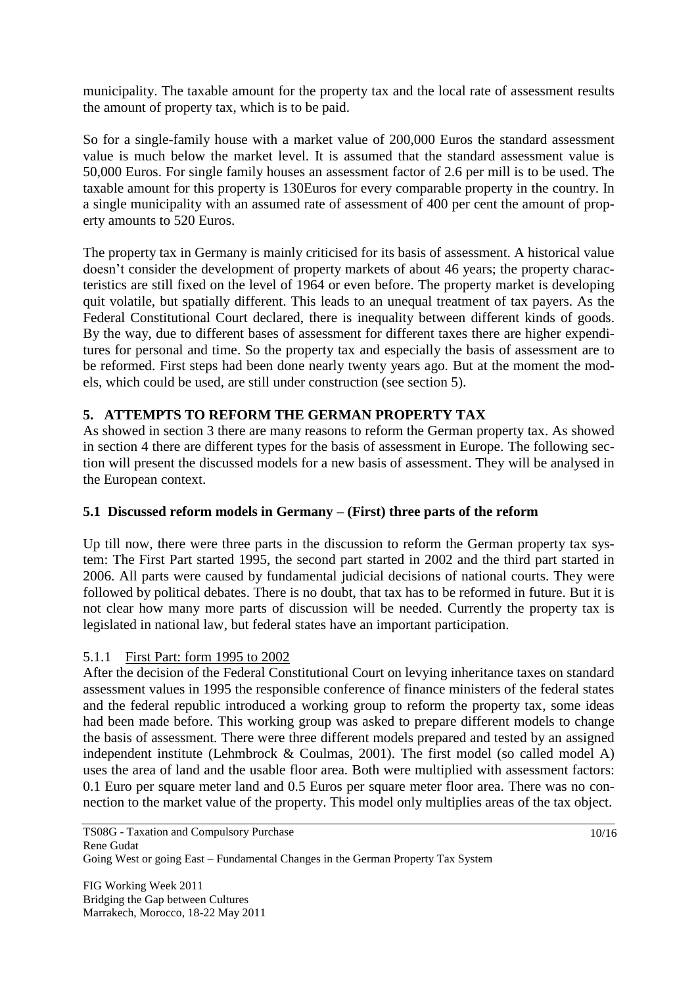municipality. The taxable amount for the property tax and the local rate of assessment results the amount of property tax, which is to be paid.

So for a single-family house with a market value of 200,000 Euros the standard assessment value is much below the market level. It is assumed that the standard assessment value is 50,000 Euros. For single family houses an assessment factor of 2.6 per mill is to be used. The taxable amount for this property is 130Euros for every comparable property in the country. In a single municipality with an assumed rate of assessment of 400 per cent the amount of property amounts to 520 Euros.

The property tax in Germany is mainly criticised for its basis of assessment. A historical value doesn't consider the development of property markets of about 46 years; the property characteristics are still fixed on the level of 1964 or even before. The property market is developing quit volatile, but spatially different. This leads to an unequal treatment of tax payers. As the Federal Constitutional Court declared, there is inequality between different kinds of goods. By the way, due to different bases of assessment for different taxes there are higher expenditures for personal and time. So the property tax and especially the basis of assessment are to be reformed. First steps had been done nearly twenty years ago. But at the moment the models, which could be used, are still under construction (see section 5).

# **5. ATTEMPTS TO REFORM THE GERMAN PROPERTY TAX**

As showed in section 3 there are many reasons to reform the German property tax. As showed in section 4 there are different types for the basis of assessment in Europe. The following section will present the discussed models for a new basis of assessment. They will be analysed in the European context.

### **5.1 Discussed reform models in Germany – (First) three parts of the reform**

Up till now, there were three parts in the discussion to reform the German property tax system: The First Part started 1995, the second part started in 2002 and the third part started in 2006. All parts were caused by fundamental judicial decisions of national courts. They were followed by political debates. There is no doubt, that tax has to be reformed in future. But it is not clear how many more parts of discussion will be needed. Currently the property tax is legislated in national law, but federal states have an important participation.

### 5.1.1 First Part: form 1995 to 2002

After the decision of the Federal Constitutional Court on levying inheritance taxes on standard assessment values in 1995 the responsible conference of finance ministers of the federal states and the federal republic introduced a working group to reform the property tax, some ideas had been made before. This working group was asked to prepare different models to change the basis of assessment. There were three different models prepared and tested by an assigned independent institute (Lehmbrock & Coulmas, 2001). The first model (so called model A) uses the area of land and the usable floor area. Both were multiplied with assessment factors: 0.1 Euro per square meter land and 0.5 Euros per square meter floor area. There was no connection to the market value of the property. This model only multiplies areas of the tax object.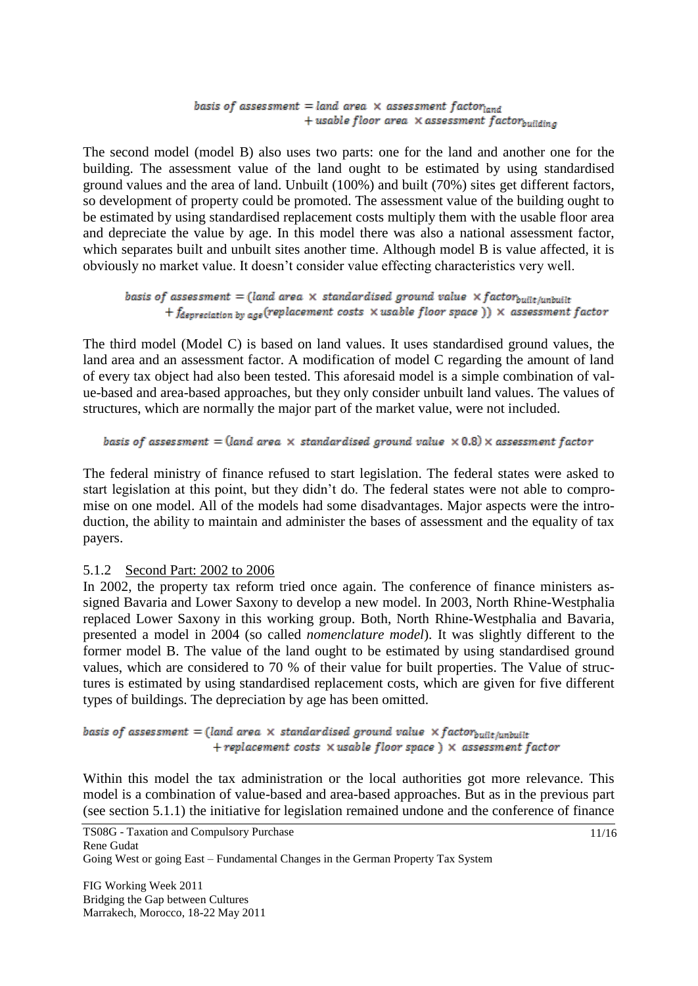#### basis of assessment = land area  $\times$  assessment factorland + usable floor area  $\times$  assessment factorbuilding

The second model (model B) also uses two parts: one for the land and another one for the building. The assessment value of the land ought to be estimated by using standardised ground values and the area of land. Unbuilt (100%) and built (70%) sites get different factors, so development of property could be promoted. The assessment value of the building ought to be estimated by using standardised replacement costs multiply them with the usable floor area and depreciate the value by age. In this model there was also a national assessment factor, which separates built and unbuilt sites another time. Although model B is value affected, it is obviously no market value. It doesn't consider value effecting characteristics very well.

```
basis of assessment = (land area \times standardised ground value \times factor<sub>built/unbuilt</sub>
+ f_{deprecision by age} (replacement costs \times usable floor space )) \times assessment factor
```
The third model (Model C) is based on land values. It uses standardised ground values, the land area and an assessment factor. A modification of model C regarding the amount of land of every tax object had also been tested. This aforesaid model is a simple combination of value-based and area-based approaches, but they only consider unbuilt land values. The values of structures, which are normally the major part of the market value, were not included.

basis of assessment = (land area  $\times$  standardised ground value  $\times$  0.8)  $\times$  assessment factor

The federal ministry of finance refused to start legislation. The federal states were asked to start legislation at this point, but they didn't do. The federal states were not able to compromise on one model. All of the models had some disadvantages. Major aspects were the introduction, the ability to maintain and administer the bases of assessment and the equality of tax payers.

#### 5.1.2 Second Part: 2002 to 2006

In 2002, the property tax reform tried once again. The conference of finance ministers assigned Bavaria and Lower Saxony to develop a new model. In 2003, North Rhine-Westphalia replaced Lower Saxony in this working group. Both, North Rhine-Westphalia and Bavaria, presented a model in 2004 (so called *nomenclature model*). It was slightly different to the former model B. The value of the land ought to be estimated by using standardised ground values, which are considered to 70 % of their value for built properties. The Value of structures is estimated by using standardised replacement costs, which are given for five different types of buildings. The depreciation by age has been omitted.

basis of assessment = (land area  $\times$  standardised ground value  $\times$  factor<sub>built/unbuilt</sub> + replacement costs  $\times$  usable floor space  $) \times$  assessment factor

Within this model the tax administration or the local authorities got more relevance. This model is a combination of value-based and area-based approaches. But as in the previous part (see section 5.1.1) the initiative for legislation remained undone and the conference of finance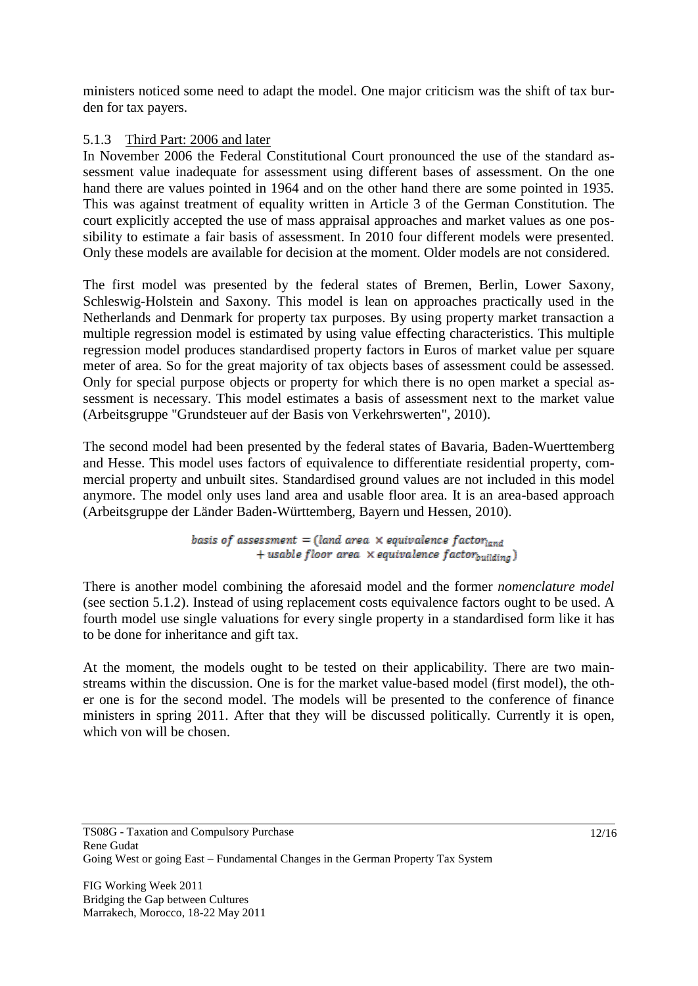ministers noticed some need to adapt the model. One major criticism was the shift of tax burden for tax payers.

# 5.1.3 Third Part: 2006 and later

In November 2006 the Federal Constitutional Court pronounced the use of the standard assessment value inadequate for assessment using different bases of assessment. On the one hand there are values pointed in 1964 and on the other hand there are some pointed in 1935. This was against treatment of equality written in Article 3 of the German Constitution. The court explicitly accepted the use of mass appraisal approaches and market values as one possibility to estimate a fair basis of assessment. In 2010 four different models were presented. Only these models are available for decision at the moment. Older models are not considered.

The first model was presented by the federal states of Bremen, Berlin, Lower Saxony, Schleswig-Holstein and Saxony. This model is lean on approaches practically used in the Netherlands and Denmark for property tax purposes. By using property market transaction a multiple regression model is estimated by using value effecting characteristics. This multiple regression model produces standardised property factors in Euros of market value per square meter of area. So for the great majority of tax objects bases of assessment could be assessed. Only for special purpose objects or property for which there is no open market a special assessment is necessary. This model estimates a basis of assessment next to the market value (Arbeitsgruppe "Grundsteuer auf der Basis von Verkehrswerten", 2010).

The second model had been presented by the federal states of Bavaria, Baden-Wuerttemberg and Hesse. This model uses factors of equivalence to differentiate residential property, commercial property and unbuilt sites. Standardised ground values are not included in this model anymore. The model only uses land area and usable floor area. It is an area-based approach (Arbeitsgruppe der Länder Baden-Württemberg, Bayern und Hessen, 2010).

> basis of assessment = (land area  $\times$  equivalence factor<sub>land</sub> + usable floor area  $\times$  equivalence factor<sub>building</sub>)

There is another model combining the aforesaid model and the former *nomenclature model* (see section 5.1.2). Instead of using replacement costs equivalence factors ought to be used. A fourth model use single valuations for every single property in a standardised form like it has to be done for inheritance and gift tax.

At the moment, the models ought to be tested on their applicability. There are two mainstreams within the discussion. One is for the market value-based model (first model), the other one is for the second model. The models will be presented to the conference of finance ministers in spring 2011. After that they will be discussed politically. Currently it is open, which von will be chosen.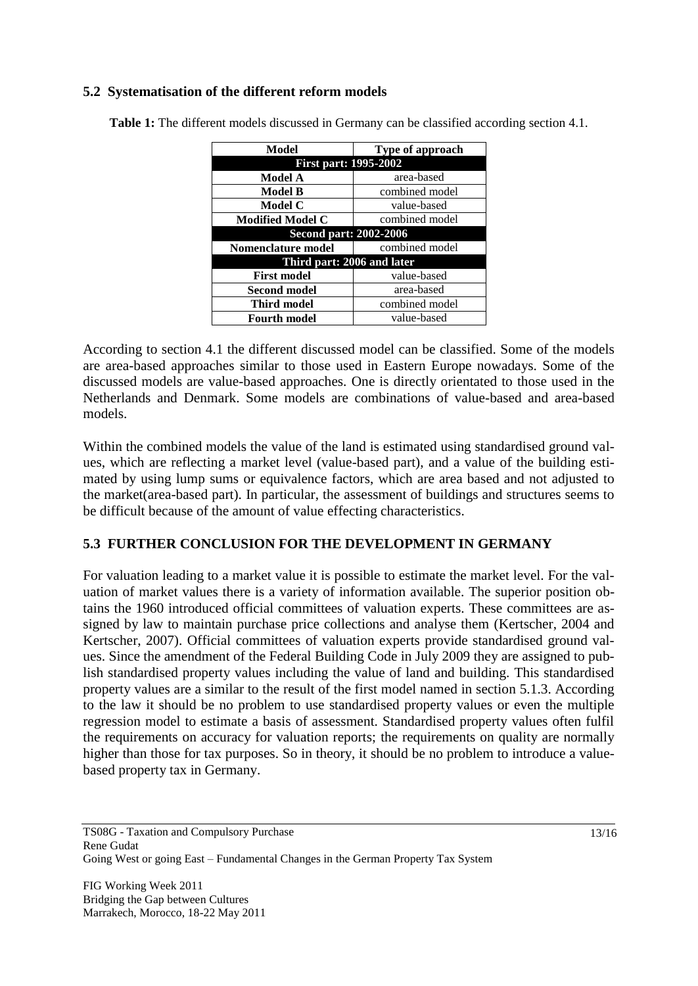# **5.2 Systematisation of the different reform models**

| Model                        | <b>Type of approach</b> |
|------------------------------|-------------------------|
| <b>First part: 1995-2002</b> |                         |
| Model A                      | area-based              |
| Model B                      | combined model          |
| Model C                      | value-based             |
| <b>Modified Model C</b>      | combined model          |
| Second part: 2002-2006       |                         |
| Nomenclature model           | combined model          |
| Third part: 2006 and later   |                         |
| <b>First model</b>           | value-based             |
| <b>Second model</b>          | area-based              |
| Third model                  | combined model          |
| <b>Fourth model</b>          | value-based             |

**Table 1:** The different models discussed in Germany can be classified according section 4.1.

According to section 4.1 the different discussed model can be classified. Some of the models are area-based approaches similar to those used in Eastern Europe nowadays. Some of the discussed models are value-based approaches. One is directly orientated to those used in the Netherlands and Denmark. Some models are combinations of value-based and area-based models.

Within the combined models the value of the land is estimated using standardised ground values, which are reflecting a market level (value-based part), and a value of the building estimated by using lump sums or equivalence factors, which are area based and not adjusted to the market(area-based part). In particular, the assessment of buildings and structures seems to be difficult because of the amount of value effecting characteristics.

### **5.3 FURTHER CONCLUSION FOR THE DEVELOPMENT IN GERMANY**

For valuation leading to a market value it is possible to estimate the market level. For the valuation of market values there is a variety of information available. The superior position obtains the 1960 introduced official committees of valuation experts. These committees are assigned by law to maintain purchase price collections and analyse them (Kertscher, 2004 and Kertscher, 2007). Official committees of valuation experts provide standardised ground values. Since the amendment of the Federal Building Code in July 2009 they are assigned to publish standardised property values including the value of land and building. This standardised property values are a similar to the result of the first model named in section 5.1.3. According to the law it should be no problem to use standardised property values or even the multiple regression model to estimate a basis of assessment. Standardised property values often fulfil the requirements on accuracy for valuation reports; the requirements on quality are normally higher than those for tax purposes. So in theory, it should be no problem to introduce a valuebased property tax in Germany.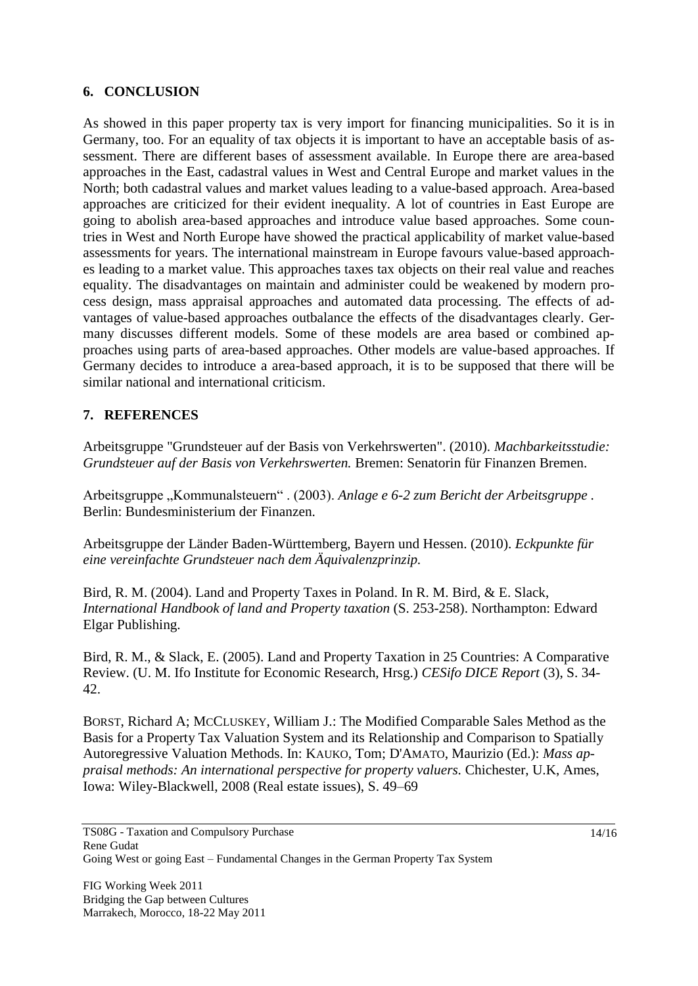### **6. CONCLUSION**

As showed in this paper property tax is very import for financing municipalities. So it is in Germany, too. For an equality of tax objects it is important to have an acceptable basis of assessment. There are different bases of assessment available. In Europe there are area-based approaches in the East, cadastral values in West and Central Europe and market values in the North; both cadastral values and market values leading to a value-based approach. Area-based approaches are criticized for their evident inequality. A lot of countries in East Europe are going to abolish area-based approaches and introduce value based approaches. Some countries in West and North Europe have showed the practical applicability of market value-based assessments for years. The international mainstream in Europe favours value-based approaches leading to a market value. This approaches taxes tax objects on their real value and reaches equality. The disadvantages on maintain and administer could be weakened by modern process design, mass appraisal approaches and automated data processing. The effects of advantages of value-based approaches outbalance the effects of the disadvantages clearly. Germany discusses different models. Some of these models are area based or combined approaches using parts of area-based approaches. Other models are value-based approaches. If Germany decides to introduce a area-based approach, it is to be supposed that there will be similar national and international criticism.

### **7. REFERENCES**

Arbeitsgruppe "Grundsteuer auf der Basis von Verkehrswerten". (2010). *Machbarkeitsstudie: Grundsteuer auf der Basis von Verkehrswerten.* Bremen: Senatorin für Finanzen Bremen.

Arbeitsgruppe "Kommunalsteuern" . (2003). Anlage e 6-2 zum Bericht der Arbeitsgruppe . Berlin: Bundesministerium der Finanzen.

Arbeitsgruppe der Länder Baden-Württemberg, Bayern und Hessen. (2010). *Eckpunkte für eine vereinfachte Grundsteuer nach dem Äquivalenzprinzip.*

Bird, R. M. (2004). Land and Property Taxes in Poland. In R. M. Bird, & E. Slack, *International Handbook of land and Property taxation* (S. 253-258). Northampton: Edward Elgar Publishing.

Bird, R. M., & Slack, E. (2005). Land and Property Taxation in 25 Countries: A Comparative Review. (U. M. Ifo Institute for Economic Research, Hrsg.) *CESifo DICE Report* (3), S. 34- 42.

BORST, Richard A; MCCLUSKEY, William J.: The Modified Comparable Sales Method as the Basis for a Property Tax Valuation System and its Relationship and Comparison to Spatially Autoregressive Valuation Methods. In: KAUKO, Tom; D'AMATO, Maurizio (Ed.): *Mass appraisal methods: An international perspective for property valuers.* Chichester, U.K, Ames, Iowa: Wiley-Blackwell, 2008 (Real estate issues), S. 49–69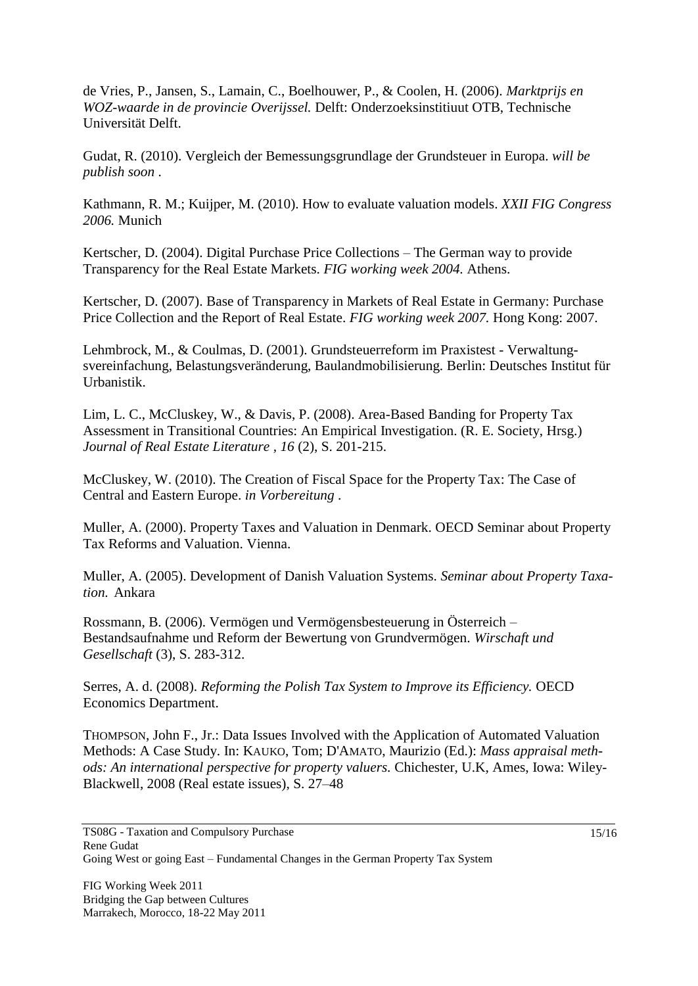de Vries, P., Jansen, S., Lamain, C., Boelhouwer, P., & Coolen, H. (2006). *Marktprijs en WOZ-waarde in de provincie Overijssel.* Delft: Onderzoeksinstitiuut OTB, Technische Universität Delft.

Gudat, R. (2010). Vergleich der Bemessungsgrundlage der Grundsteuer in Europa. *will be publish soon* .

Kathmann, R. M.; Kuijper, M. (2010). How to evaluate valuation models. *XXII FIG Congress 2006.* Munich

Kertscher, D. (2004). Digital Purchase Price Collections – The German way to provide Transparency for the Real Estate Markets. *FIG working week 2004.* Athens.

Kertscher, D. (2007). Base of Transparency in Markets of Real Estate in Germany: Purchase Price Collection and the Report of Real Estate. *FIG working week 2007.* Hong Kong: 2007.

Lehmbrock, M., & Coulmas, D. (2001). Grundsteuerreform im Praxistest - Verwaltungsvereinfachung, Belastungsveränderung, Baulandmobilisierung. Berlin: Deutsches Institut für Urbanistik.

Lim, L. C., McCluskey, W., & Davis, P. (2008). Area-Based Banding for Property Tax Assessment in Transitional Countries: An Empirical Investigation. (R. E. Society, Hrsg.) *Journal of Real Estate Literature , 16* (2), S. 201-215.

McCluskey, W. (2010). The Creation of Fiscal Space for the Property Tax: The Case of Central and Eastern Europe. *in Vorbereitung* .

Muller, A. (2000). Property Taxes and Valuation in Denmark. OECD Seminar about Property Tax Reforms and Valuation. Vienna.

Muller, A. (2005). Development of Danish Valuation Systems. *Seminar about Property Taxation.* Ankara

Rossmann, B. (2006). Vermögen und Vermögensbesteuerung in Österreich – Bestandsaufnahme und Reform der Bewertung von Grundvermögen. *Wirschaft und Gesellschaft* (3), S. 283-312.

Serres, A. d. (2008). *Reforming the Polish Tax System to Improve its Efficiency.* OECD Economics Department.

THOMPSON, John F., Jr.: Data Issues Involved with the Application of Automated Valuation Methods: A Case Study. In: KAUKO, Tom; D'AMATO, Maurizio (Ed.): *Mass appraisal methods: An international perspective for property valuers.* Chichester, U.K, Ames, Iowa: Wiley-Blackwell, 2008 (Real estate issues), S. 27–48